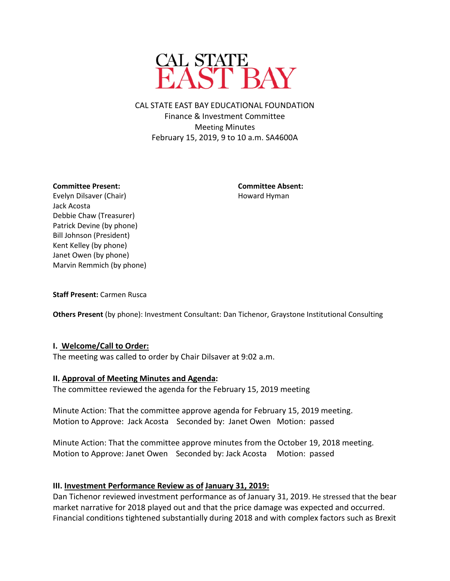

CAL STATE EAST BAY EDUCATIONAL FOUNDATION Finance & Investment Committee Meeting Minutes February 15, 2019, 9 to 10 a.m. SA4600A

#### **Committee Present: Committee Absent:**

Evelyn Dilsaver (Chair) **Evelyn Dilsaver (Chair)** Howard Hyman Jack Acosta Debbie Chaw (Treasurer) Patrick Devine (by phone) Bill Johnson (President) Kent Kelley (by phone) Janet Owen (by phone) Marvin Remmich (by phone)

**Staff Present:** Carmen Rusca

**Others Present** (by phone): Investment Consultant: Dan Tichenor, Graystone Institutional Consulting

### **I. Welcome/Call to Order:**

The meeting was called to order by Chair Dilsaver at 9:02 a.m.

### **II. Approval of Meeting Minutes and Agenda:**

The committee reviewed the agenda for the February 15, 2019 meeting

Minute Action: That the committee approve agenda for February 15, 2019 meeting. Motion to Approve: Jack Acosta Seconded by: Janet Owen Motion: passed

Minute Action: That the committee approve minutes from the October 19, 2018 meeting. Motion to Approve: Janet Owen Seconded by: Jack Acosta Motion: passed

### **III. Investment Performance Review as of January 31, 2019:**

Dan Tichenor reviewed investment performance as of January 31, 2019. He stressed that the bear market narrative for 2018 played out and that the price damage was expected and occurred. Financial conditions tightened substantially during 2018 and with complex factors such as Brexit